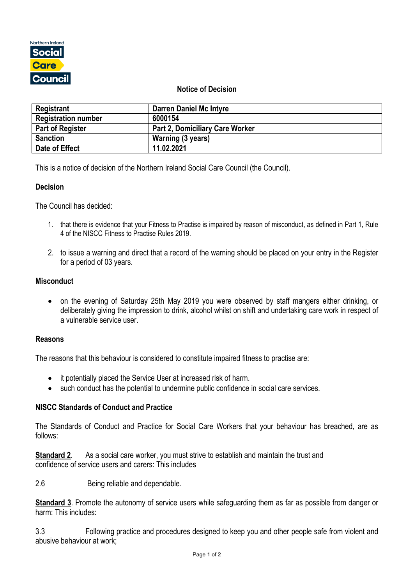

### **Notice of Decision**

| Registrant                 | <b>Darren Daniel Mc Intyre</b>         |
|----------------------------|----------------------------------------|
| <b>Registration number</b> | 6000154                                |
| <b>Part of Register</b>    | <b>Part 2, Domiciliary Care Worker</b> |
| <b>Sanction</b>            | Warning (3 years)                      |
| Date of Effect             | 11.02.2021                             |

This is a notice of decision of the Northern Ireland Social Care Council (the Council).

#### **Decision**

The Council has decided:

- 1. that there is evidence that your Fitness to Practise is impaired by reason of misconduct, as defined in Part 1, Rule 4 of the NISCC Fitness to Practise Rules 2019.
- 2. to issue a warning and direct that a record of the warning should be placed on your entry in the Register for a period of 03 years.

#### **Misconduct**

• on the evening of Saturday 25th May 2019 you were observed by staff mangers either drinking, or deliberately giving the impression to drink, alcohol whilst on shift and undertaking care work in respect of a vulnerable service user.

#### **Reasons**

The reasons that this behaviour is considered to constitute impaired fitness to practise are:

- it potentially placed the Service User at increased risk of harm.
- such conduct has the potential to undermine public confidence in social care services.

# **NISCC Standards of Conduct and Practice**

The Standards of Conduct and Practice for Social Care Workers that your behaviour has breached, are as follows:

**Standard 2.** As a social care worker, you must strive to establish and maintain the trust and confidence of service users and carers: This includes

2.6 Being reliable and dependable.

**Standard 3**. Promote the autonomy of service users while safeguarding them as far as possible from danger or harm: This includes:

3.3 Following practice and procedures designed to keep you and other people safe from violent and abusive behaviour at work;